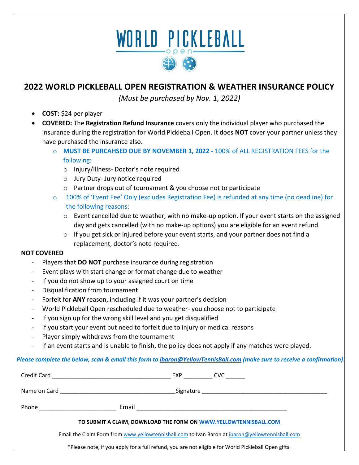# WORLD PICKLEBALL

### **2022 WORLD PICKLEBALL OPEN REGISTRATION & WEATHER INSURANCE POLICY**

*(Must be purchased by Nov. 1, 2022)*

- **COST:** \$24 per player
- **COVERED:** The **Registration Refund Insurance** covers only the individual player who purchased the insurance during the registration for World Pickleball Open. It does **NOT** cover your partner unless they have purchased the insurance also.
	- o **MUST BE PURCAHSED DUE BY NOVEMBER 1, 2022 -** 100% of ALL REGISTRATION FEES for the following:
		- o Injury/Illness- Doctor's note required
		- o Jury Duty- Jury notice required
		- o Partner drops out of tournament & you choose not to participate
	- o 100% of 'Event Fee' Only (excludes Registration Fee) is refunded at any time (no deadline) for the following reasons:
		- o Event cancelled due to weather, with no make-up option. If your event starts on the assigned day and gets cancelled (with no make-up options) you are eligible for an event refund.
		- $\circ$  If you get sick or injured before your event starts, and your partner does not find a replacement, doctor's note required.

#### **NOT COVERED**

- Players that **DO NOT** purchase insurance during registration
- Event plays with start change or format change due to weather
- If you do not show up to your assigned court on time
- Disqualification from tournament
- Forfeit for **ANY** reason, including if it was your partner's decision
- World Pickleball Open rescheduled due to weather- you choose not to participate
- If you sign up for the wrong skill level and you get disqualified
- If you start your event but need to forfeit due to injury or medical reasons
- Player simply withdraws from the tournament
- If an event starts and is unable to finish, the policy does not apply if any matches were played.

#### *Please complete the below, scan & email this form t[o ibaron@YellowTennisBall.com](mailto:ibaron@YellowTennisBall.com) (make sure to receive a confirmation):*

|                                                                                                     | EXP CVC |  |  |
|-----------------------------------------------------------------------------------------------------|---------|--|--|
| Name on Card <u>_________________________________</u>                                               |         |  |  |
| Phone <u>_________________</u>                                                                      |         |  |  |
| TO SUBMIT A CLAIM, DOWNLOAD THE FORM ON WWW.YELLOWTENNISBALL.COM                                    |         |  |  |
| Email the Claim Form from www.yellowtennisball.com to Ivan Baron at ibaron@yellowtennisball.com     |         |  |  |
| *Please note, if you apply for a full refund, you are not eligible for World Pickleball Open gifts. |         |  |  |